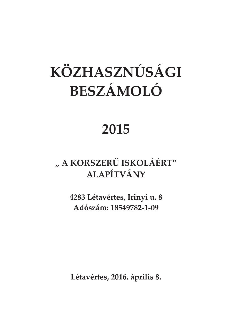# KÖZHASZNÚSÁGI BESZÁMOLÓ

### 2015

### "A KORSZERŰ ISKOLÁÉRT" ALAPÍTVÁNY

4283 Létavértes, Irinyi u. 8 Adószám: 18549782-1-09

Létavértes, 2016. április 8.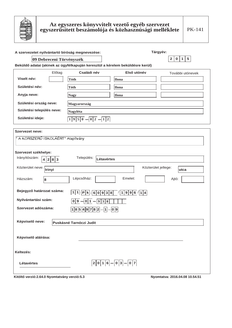

| Tárgyév:<br>A szervezetet nyilvántartó bíróság megnevezése: |        |                                                                                       |                     |                              |  |  |  |
|-------------------------------------------------------------|--------|---------------------------------------------------------------------------------------|---------------------|------------------------------|--|--|--|
| 09 Debreceni Törvényszék                                    |        |                                                                                       |                     | 2 0 1 5                      |  |  |  |
|                                                             |        | Beküldő adatai (akinek az ügyfélkapuján keresztül a kérelem beküldésre kerül)         |                     |                              |  |  |  |
|                                                             | Előtag | Családi név                                                                           | Első utónév         | További utónevek             |  |  |  |
| Viselt név:                                                 |        | <b>Tóth</b>                                                                           | Ilona               |                              |  |  |  |
| Születési név:                                              |        | Tóth                                                                                  | Ilona               |                              |  |  |  |
| Anyja neve:                                                 |        | <b>Nagy</b>                                                                           | <b>Ilona</b>        |                              |  |  |  |
| Születési ország neve:                                      |        | <b>Magyarország</b>                                                                   |                     |                              |  |  |  |
| Születési település neve:                                   |        | Nagyléta                                                                              |                     |                              |  |  |  |
| Születési ideje:                                            |        | 1 9 5 0<br> 0 2 <br>1 2                                                               |                     |                              |  |  |  |
| <b>Szervezet neve:</b>                                      |        |                                                                                       |                     |                              |  |  |  |
| " A KORSZERŰ ISKOLÁÉRT" Alapítvány                          |        |                                                                                       |                     |                              |  |  |  |
|                                                             |        |                                                                                       |                     |                              |  |  |  |
| Szervezet székhelye:                                        |        |                                                                                       |                     |                              |  |  |  |
| Irányítószám:<br>4 2 8 3                                    |        | Település:<br>Létavértes                                                              |                     |                              |  |  |  |
| Közterület neve: Trinyi                                     |        |                                                                                       |                     | Közterület jellege:<br>utca  |  |  |  |
| Házszám:<br>8                                               |        | Lépcsőház:                                                                            | Emelet:             | Ajtó:                        |  |  |  |
| Bejegyző határozat száma:                                   |        | 1 1 <br>$\left  P \right $ k $\left  6 \right  0 \left  9 \right  3 \left  8 \right $ | /[1 9 9 6]/[1 4]    |                              |  |  |  |
| Nyilvántartási szám:                                        |        | 0 9 <br>0 1<br> 9 3 8                                                                 |                     |                              |  |  |  |
| Szervezet adószáma:                                         |        | $18549782 - 1 - 09$                                                                   |                     |                              |  |  |  |
|                                                             |        |                                                                                       |                     |                              |  |  |  |
| Képviselő neve:                                             |        | <b>Puskásné Tarnóczi Judit</b>                                                        |                     |                              |  |  |  |
|                                                             |        |                                                                                       |                     |                              |  |  |  |
| Képviselő aláírása:                                         |        |                                                                                       |                     |                              |  |  |  |
|                                                             |        |                                                                                       |                     |                              |  |  |  |
| Keltezés:                                                   |        |                                                                                       |                     |                              |  |  |  |
| Létavértes                                                  |        | $2 0 1 6$ .                                                                           | -  0   7<br>- 0 3 - |                              |  |  |  |
|                                                             |        |                                                                                       |                     | $0.010, 0.400, 0.050, 0.000$ |  |  |  |

Kitöltő verzió: 2.64.0 Nyomtatvány verzió: 5.3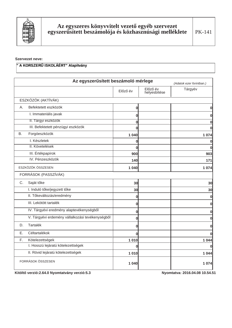

#### Szervezet neve:

#### " A KORSZERŰ ISKOLÁÉRT" Alapítvány

|                                          | Az egyszerűsített beszámoló mérlege<br>(Adatok ezer forintban.) |          |                          |          |  |
|------------------------------------------|-----------------------------------------------------------------|----------|--------------------------|----------|--|
|                                          |                                                                 | Előző év | Előző év<br>helyesbítése | Tárgyév  |  |
| ESZKÖZÖK (AKTÍVÁK)                       |                                                                 |          |                          |          |  |
| Befektetett eszközök<br>Α.               |                                                                 | 0        |                          | 0        |  |
| I. Immateriális javak                    |                                                                 | 0        |                          | 0        |  |
| II. Tárgyi eszközök                      |                                                                 | $\bf{0}$ |                          | 0        |  |
| III. Befektetett pénzügyi eszközök       |                                                                 | 0        |                          | $\bf{0}$ |  |
| Forgóeszközök<br>В.                      |                                                                 | 1 0 4 0  |                          | 1074     |  |
| I. Készletek                             |                                                                 | 0        |                          | 0        |  |
| II. Követelések                          |                                                                 | $\bf{0}$ |                          | $\bf{0}$ |  |
| III. Értékpapírok                        |                                                                 | 900      |                          | 903      |  |
| IV. Pénzeszközök                         |                                                                 | 140      |                          | 171      |  |
| ESZKÖZÖK ÖSSZESEN                        |                                                                 | 1 0 4 0  |                          | 1074     |  |
| FORRÁSOK (PASSZÍVÁK)                     |                                                                 |          |                          |          |  |
| Saját tőke<br>C.                         |                                                                 | 30       |                          | 30       |  |
| I. Induló tőke/jegyzett tőke             |                                                                 | 30       |                          | 30       |  |
| II. Tőkeváltozás/eredmény                |                                                                 | 0        |                          | 0        |  |
| III. Lekötött tartalék                   |                                                                 | 0        |                          | $\bf{0}$ |  |
| IV. Tárgyévi eredmény alaptevékenységből |                                                                 | 0        |                          | $\bf{0}$ |  |
|                                          | V. Tárgyévi erdemény vállalkozási tevékenységből                | 0        |                          | 0        |  |
| Tartalék<br>D.                           |                                                                 | 0        |                          | $\bf{0}$ |  |
| Céltartalékok<br>Е.                      |                                                                 | $\bf{0}$ |                          | $\bf{0}$ |  |
| Kötelezettségek<br>F.                    |                                                                 | 1 0 1 0  |                          | 1 0 4 4  |  |
| I. Hosszú lejáratú kötelezettségek       |                                                                 | 0        |                          | O        |  |
| II. Rövid lejáratú kötelezettségek       |                                                                 | 1 0 1 0  |                          | 1 0 4 4  |  |
| FORRÁSOK ÖSSZESEN                        |                                                                 | 1 0 4 0  |                          | 1 0 7 4  |  |

Kitöltő verzió: 2.64.0 Nyomtatvány verzió: 5.3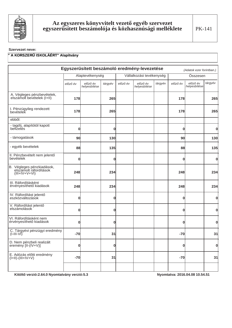

#### Szervezet neve:

#### " A KORSZERŰ ISKOLÁÉRT" Alapítvány

| Egyszerűsített beszámoló eredmény-levezetése                           |              |                          |             |          |                          |         | (Adatok ezer forintban.) |                          |              |
|------------------------------------------------------------------------|--------------|--------------------------|-------------|----------|--------------------------|---------|--------------------------|--------------------------|--------------|
|                                                                        |              | Alaptevékenység          |             |          | Vállalkozási tevékenység |         |                          | Összesen                 |              |
|                                                                        | előző év     | előző év<br>helyesbítése | tárgyév     | előző év | előző év<br>helyesbítése | tárgyév | előző év                 | előző év<br>helyesbítése | tárgyév      |
| A. Végleges pénzbevételek,<br>elszámolt bevételek (I+II)               | 178          |                          | 265         |          |                          |         | 178                      |                          | 265          |
| I. Pénzügyileg rendezett<br>bevételek                                  | 178          |                          | 265         |          |                          |         | 178                      |                          | 265          |
| ebből:                                                                 |              |                          |             |          |                          |         |                          |                          |              |
| - tagdíj, alapítótól kapott<br>befizetés                               | $\mathbf 0$  |                          | 0           |          |                          |         | 0                        |                          | 0            |
| - támogatások                                                          | 90           |                          | 130         |          |                          |         | 90                       |                          | 130          |
| - egyéb bevételek                                                      | 88           |                          | 135         |          |                          |         | 88                       |                          | 135          |
| II. Pénzbevételt nem jelentő<br>bevételek                              | $\mathbf 0$  |                          | $\mathbf 0$ |          |                          |         | O                        |                          | 0            |
| B. Végleges pénzkiadások,<br>elszámolt ráfordítások<br>$(III+IV+V+VI)$ | 248          |                          | 234         |          |                          |         | 248                      |                          | 234          |
| III. Ráfordításként<br>érvényesíthető kiadások                         | 248          |                          | 234         |          |                          |         | 248                      |                          | 234          |
| IV. Ráfordítást jelentő<br>eszközváltozások                            | $\mathbf{0}$ |                          | 0           |          |                          |         | 0                        |                          | $\mathbf{0}$ |
| V. Ráfordítást jelentő<br>elszámolások                                 | $\mathbf{0}$ |                          | $\mathbf 0$ |          |                          |         | 0                        |                          | 0            |
| VI. Ráfordításként nem<br>érvényesíthető kiadások                      | $\mathbf 0$  |                          | 0           |          |                          |         | 0                        |                          | 0            |
| C. Tárgyévi pénzügyi eredmény<br>$(I-III-VI)$                          | $-70$        |                          | 31          |          |                          |         | $-70$                    |                          | 31           |
| D. Nem pénzbeli realizált<br>eremény [II-(IV+V)]                       | 0            |                          | 0           |          |                          |         | 0                        |                          | <sub>0</sub> |
| E. Adózás előtti eredmény<br>$(I+II)-(III+IV+V)$                       | $-70$        |                          | 31          |          |                          |         | $-70$                    |                          | 31           |
|                                                                        |              |                          |             |          |                          |         |                          |                          |              |

Kitöltő verzió: 2.64.0 Nyomtatvány verzió: 5.3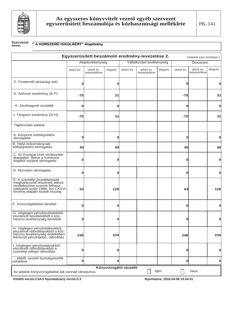

#### **Szervezet** " A KORSZERŰ ISKOLÁÉRT" Alapítvány neve:

|                                                                                                                                                                    |                                                                                            |                          |             |          | Egyszerűsített beszámoló eredmény-levezetése 2. |         |             | (Adatok ezer forintban.) |              |
|--------------------------------------------------------------------------------------------------------------------------------------------------------------------|--------------------------------------------------------------------------------------------|--------------------------|-------------|----------|-------------------------------------------------|---------|-------------|--------------------------|--------------|
|                                                                                                                                                                    |                                                                                            | Alaptevékenység          |             |          | Vállalkozási tevékenység                        |         |             | Összesen                 |              |
|                                                                                                                                                                    | előző év                                                                                   | előző év<br>helyesbítése | tárgyév     | előző év | előző év<br>helyesbítése                        | tárgyév | előző év    | előző év<br>helyesbítése | tárgyév      |
| F. Fizetendő társasági adó                                                                                                                                         | 0                                                                                          |                          | $\mathbf 0$ |          |                                                 |         | $\bf{0}$    |                          | 0            |
| G. Adózott eredmény (E-F)                                                                                                                                          | -70                                                                                        |                          | 31          |          |                                                 |         | $-70$       |                          | 31           |
| H. Jóváhagyott osztalék                                                                                                                                            | $\mathbf 0$                                                                                |                          | $\mathbf 0$ |          |                                                 |         | $\bf{0}$    |                          | 0            |
| I. Tárgyévi eredmény (G-H)                                                                                                                                         | -70                                                                                        |                          | 31          |          |                                                 |         | $-70$       |                          | 31           |
| Tájékoztató adatok                                                                                                                                                 |                                                                                            |                          |             |          |                                                 |         |             |                          |              |
| A. Központi költségvetési<br>támogatás                                                                                                                             | O                                                                                          |                          | $\mathbf 0$ |          |                                                 |         | $\mathbf 0$ |                          | 0            |
| B. Helyi önkormányzati<br>költségvetési támogatás                                                                                                                  | 40                                                                                         |                          | 90          |          |                                                 |         | 40          |                          | 90           |
| C. Az Európai Unió strukturális<br>alapiaiból, illetve a Kohéziós<br>Alapból nyújtott támogatás                                                                    | Ω                                                                                          |                          | ი           |          |                                                 |         | 0           |                          | Ω            |
| D. Normatív támogatás                                                                                                                                              | O                                                                                          |                          | $\mathbf 0$ |          |                                                 |         | $\bf{0}$    |                          | $\mathbf{O}$ |
| E. A személyi jövedelamadó<br>meghatározott részének adózó<br>rendelkezése szerinti felhasz-<br>nálásáról szóló 1996. évi CXXVI.<br>törvény alapján kiutalt összeg | 63                                                                                         |                          | 129         |          |                                                 |         | 63          |                          | 129          |
| F. Közszolgáltatási bevétel                                                                                                                                        | O                                                                                          |                          | O           |          |                                                 |         | $\bf{0}$    |                          | 0            |
| G. Végleges pénzbevételekből,<br>elszámolt bevételekből a köz-<br>hasznú tevékenység bevétele                                                                      | 0                                                                                          |                          | O           |          |                                                 |         | 0           |                          | 0            |
| H. Végleges pénzkiadásokból,<br>elszámolt ráfordításokból a köz-<br>hasznú tevékenység érdekében<br>felmerült pénzkiadás, ráfordítás                               | 248                                                                                        |                          | 234         |          |                                                 |         | 248         |                          | 234          |
| I. Végleges pénzkiadásokból,<br>elszámolt ráfordításokból a<br>személyi jellegű ráfordítás                                                                         | 0                                                                                          |                          | 0           |          |                                                 |         | $\bf{0}$    |                          | 0            |
| - ebből: vezető tisztségviselők<br>juttatásai                                                                                                                      | 0                                                                                          |                          | 0           |          |                                                 |         | 0           |                          | 0            |
|                                                                                                                                                                    | Könyvvizsgálói záradék<br>Igen<br>Nem<br>Az adatok könyvvizsgálattal alá vannak támasztva. |                          |             |          |                                                 |         |             |                          |              |

Kitöltő verzió: 2.64.0 Nyomtatvány verzió: 5.3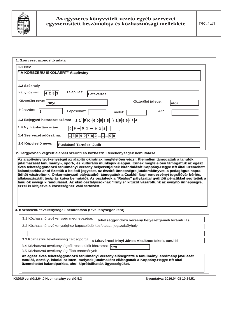

|                          | " A KORSZERŰ ISKOLÁÉRT" Alapítvány                                                                                                                                                                                                                                                                                                                                              |
|--------------------------|---------------------------------------------------------------------------------------------------------------------------------------------------------------------------------------------------------------------------------------------------------------------------------------------------------------------------------------------------------------------------------|
|                          |                                                                                                                                                                                                                                                                                                                                                                                 |
| 1.2 Székhely             |                                                                                                                                                                                                                                                                                                                                                                                 |
| Irányítószám:            | Település:<br>4 2 8 3<br>Létavértes                                                                                                                                                                                                                                                                                                                                             |
| Közterület neve:         | Közterület jellege:<br>Irinyi<br>utca                                                                                                                                                                                                                                                                                                                                           |
| Házszám:                 | 8<br>Lépcsőház:<br>Ajtó:<br>Emelet:                                                                                                                                                                                                                                                                                                                                             |
|                          | 1.3 Bejegyző határozat száma:<br>$11.$ PK $.$ 60938 $11996$ $114$                                                                                                                                                                                                                                                                                                               |
| 1.4 Nyilvántartási szám: | 0 9 <br>  0   1  -<br>- 9<br> 3 8                                                                                                                                                                                                                                                                                                                                               |
|                          | 1.4 Szervezet adószáma:<br>$1 8 5 4 9 7 8 2$ .<br>$- 1 $<br>$- 0 9$                                                                                                                                                                                                                                                                                                             |
| 1.6 Képviselő neve:      | Puskásné Tarnóczi Judit                                                                                                                                                                                                                                                                                                                                                         |
|                          | 2. Tárgyévben végzett alapcél szerinti és közhasznú tevékenységek bemutatása                                                                                                                                                                                                                                                                                                    |
|                          | jutalmazását tanulmányi-, sport-, és kulturális munkájuk alapján. Ennek megfelelően támogattuk az egész<br>éves tehetséggondozó tanulmányi verseny helyezettjeinek kirándulását Koppány-Hegye Kft által üzemeltett                                                                                                                                                              |
|                          | kalandparkba ahol fizettük a belépő jegyeket, az évzáró ünnepségre jutalomkönyvet, a pedagógus napra<br>üdítőt vásároltunk. Önkormányzati pályázatból támogattuk a Családi Napi rendezvényt (ugrálóvár bérlés,<br>tanulók évvégi kirándulásait. Az első osztályosoknak "Irinyis" kitűzőt vásároltunk az évnyító ünnepségre,<br>ezzel is kifejezve a közösséghez való tartozást. |
|                          | állatasszisztált terápiás kutya bemutató). Az osztályok a "Reálos" pályázattal gyűjtött pénzükkel segítették a<br>3. Közhasznú tevékenységek bemutatása (tevékenységenként)                                                                                                                                                                                                     |
|                          | 3.1 Közhasznú tevékenység megnevezése:<br>tehetséggondozó verseny helyezettjeinek kirándulás                                                                                                                                                                                                                                                                                    |

3.3 Közhasznú tevékenység célcsoportja: <mark>a Létavértesi Irinyi János Általános Iskola tanulói</mark>

3.4 Közhasznú tevékenységből részesülők létszáma:  $\sqrt{179}$ 3.5 Közhasznú tevékenység főbb eredményei:

Az egész éves tehetséggondozó tanulmányi verseny elősegítette a tanulmányi eredmény javulását tanulói, osztály, iskolai szinten, melynek jutalmaként ellátogattak a Koppány-Hegye Kft altal üzemeltettet kalandparkba, ahol kipróbálhatták ügyességüket.

Kitöltő verzió:2.64.0 Nyomtatvány verzió:5.3 **. 1. marcasat 1.54.51 kg/mw. 1. marcasat 1.54.51 kg/mw. 1.54.51 kg/mw. 1.54.51 kg/mw. 1.54.51 kg/mw. 1.54.51 kg/mw. 1.54.51 kg/mw. 1.54.51 kg/mw. 1.54.51 kg/mw. 1.54.51 kg/mw.**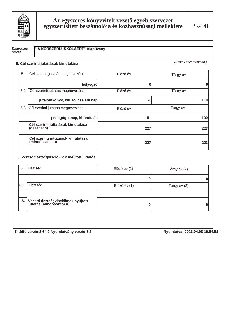

PK-141

### Szervezet<br>neve:

#### " A KORSZERŰ ISKOLÁÉRT" Alapítvány

|     | 5. Cél szerinti jutattások kimutatása                |          | (Adatok ezer forintban.) |
|-----|------------------------------------------------------|----------|--------------------------|
| 5.1 | Cél szerinti juttatás megnevezése                    | Előző év | Tárgy év                 |
|     | bélyegző                                             | n        |                          |
| 5.2 | Cél szerinti juttatás megnevezése                    | Előző év | Tárgy év                 |
|     | jutalomkönyv, kitűző, családi nap                    | 76       | 118                      |
| 5.3 | Cél szerinti jutattás megnevezése                    | Előző év | Tárgy év                 |
|     | pedagógusnap, kirándulás                             | 151      | 100                      |
|     | Cél szerinti juttatások kimutatása<br>(összesen)     | 227      | 223                      |
|     | Cél szerinti juttatások kimutatása<br>(mindösszesen) | 227      | 223                      |

#### 6. Vezető tisztségviselőknek nyújtott juttatás

| 6.1 | Tisztség                                                         | $El$ őző év $(1)$ | Tárgy év (2) |
|-----|------------------------------------------------------------------|-------------------|--------------|
|     |                                                                  |                   |              |
| 6.2 | Tisztség                                                         | Előző év (1)      | Tárgy év (2) |
|     | A. Vezető tisztségviselőknek nyújtott<br>juttatás (mindösszesen) |                   |              |

Kitöltő verzió: 2.64.0 Nyomtatvány verzió: 5.3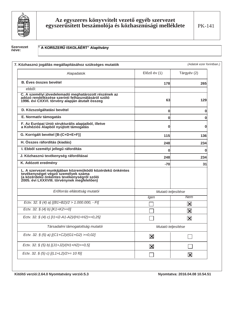

Szervezet<br>neve:

#### " A KORSZERŰ ISKOLÁÉRT" Alapítvány

| 7. Közhasznú jogállás megállapításához szükséges mutatók                                                                                                                                     |                         | (Adatok ezer forintban.) |
|----------------------------------------------------------------------------------------------------------------------------------------------------------------------------------------------|-------------------------|--------------------------|
| Alapadatok                                                                                                                                                                                   | Előző év (1)            | Tárgyév (2)              |
| <b>B.</b> Éves összes bevétel                                                                                                                                                                | 178l                    | 265                      |
| ebből:                                                                                                                                                                                       |                         |                          |
| C. A személyi jövedelemadó meghatározott részének az<br>adózó rendelkezése szerinti felhasználásáról szóló<br>1996. évi CXXVI. törvény alapján átutalt összeg                                | 63                      | 129                      |
| D. Közszolgáltatási bevétel                                                                                                                                                                  | 0                       | 0                        |
| E. Normatív támogatás                                                                                                                                                                        | 0                       | 0                        |
| F. Az Európai Unió strukturális alapjaiból, illetve<br>a Kohéziós Alapból nyújtott támogatás                                                                                                 | 0                       | 0                        |
| G. Korrigált bevétel [B-(C+D+E+F)]                                                                                                                                                           | 115                     | 136                      |
| H. Összes ráfordítás (kiadás)                                                                                                                                                                | 248                     | 234                      |
| I. Ebből személyi jellegű ráfordítás                                                                                                                                                         | 0                       | 0                        |
| J. Közhasznú tevékenység ráfordításai                                                                                                                                                        | 248                     | 234                      |
| K. Adózott eredmény                                                                                                                                                                          | $-70$                   | 31                       |
| L. A szervezet munkájában közreműködő közérdekű önkéntes<br>tevékenységet végző személyek száma<br>(a közérdekű önkéntes tevékenységről szóló<br>2005. évi LXXXVIII. törvénynek megfelelően) |                         |                          |
| Erőforrás ellátottság mutatói                                                                                                                                                                | Mutató teljesítése      |                          |
|                                                                                                                                                                                              | Igen                    | Nem                      |
| Ectv. 32. § (4) a) $[(B1+B2)/2 > 1.000.000, -Ft]$                                                                                                                                            |                         | $\overline{\textbf{x}}$  |
| Ectv. 32. § (4) b) [K1+K2>=0]                                                                                                                                                                |                         | $\overline{\mathbf{X}}$  |
| Ectv. 32. § (4) c) [11+12-A1-A2)/(H1+H2)>=0,25]                                                                                                                                              |                         | $\vert\mathbf{X}\vert$   |
| Társadalmi támogatottság mutatói                                                                                                                                                             | Mutató teljesítése      |                          |
| Ectv. 32. § (5) a) [(C1+C2)/(G1+G2) >=0,02]                                                                                                                                                  | $\overline{\mathsf{x}}$ |                          |
| Ectv. 32. § (5) b) [(J1+J2)/(H1+H2)>=0,5]                                                                                                                                                    | $\overline{\mathbf{X}}$ |                          |
| Ectv. 32. § (5) c) [(L1+L2)/2>= 10 fő]                                                                                                                                                       |                         | $\vert\mathbf{X}\vert$   |

Kitöltő verzió: 2.64.0 Nyomtatvány verzió: 5.3